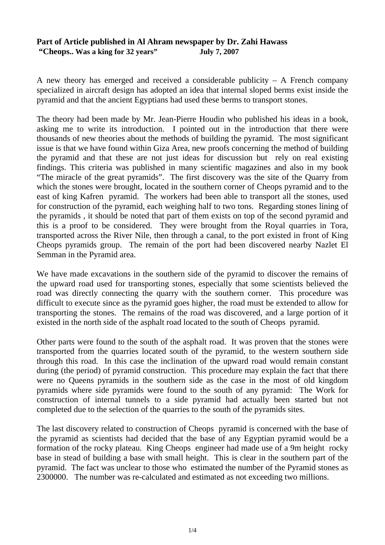## **Part of Article published in Al Ahram newspaper by Dr. Zahi Hawass "Cheops.. Was a king for 32 years" July 7, 2007**

A new theory has emerged and received a considerable publicity – A French company specialized in aircraft design has adopted an idea that internal sloped berms exist inside the pyramid and that the ancient Egyptians had used these berms to transport stones.

The theory had been made by Mr. Jean-Pierre Houdin who published his ideas in a book, asking me to write its introduction. I pointed out in the introduction that there were thousands of new theories about the methods of building the pyramid. The most significant issue is that we have found within Giza Area, new proofs concerning the method of building the pyramid and that these are not just ideas for discussion but rely on real existing findings. This criteria was published in many scientific magazines and also in my book "The miracle of the great pyramids". The first discovery was the site of the Quarry from which the stones were brought, located in the southern corner of Cheops pyramid and to the east of king Kafren pyramid. The workers had been able to transport all the stones, used for construction of the pyramid, each weighing half to two tons. Regarding stones lining of the pyramids , it should be noted that part of them exists on top of the second pyramid and this is a proof to be considered. They were brought from the Royal quarries in Tora, transported across the River Nile, then through a canal, to the port existed in front of King Cheops pyramids group. The remain of the port had been discovered nearby Nazlet El Semman in the Pyramid area.

We have made excavations in the southern side of the pyramid to discover the remains of the upward road used for transporting stones, especially that some scientists believed the road was directly connecting the quarry with the southern corner. This procedure was difficult to execute since as the pyramid goes higher, the road must be extended to allow for transporting the stones. The remains of the road was discovered, and a large portion of it existed in the north side of the asphalt road located to the south of Cheops pyramid.

Other parts were found to the south of the asphalt road. It was proven that the stones were transported from the quarries located south of the pyramid, to the western southern side through this road. In this case the inclination of the upward road would remain constant during (the period) of pyramid construction. This procedure may explain the fact that there were no Queens pyramids in the southern side as the case in the most of old kingdom pyramids where side pyramids were found to the south of any pyramid: The Work for construction of internal tunnels to a side pyramid had actually been started but not completed due to the selection of the quarries to the south of the pyramids sites.

The last discovery related to construction of Cheops pyramid is concerned with the base of the pyramid as scientists had decided that the base of any Egyptian pyramid would be a formation of the rocky plateau. King Cheops engineer had made use of a 9m height rocky base in stead of building a base with small height. This is clear in the southern part of the pyramid. The fact was unclear to those who estimated the number of the Pyramid stones as 2300000. The number was re-calculated and estimated as not exceeding two millions.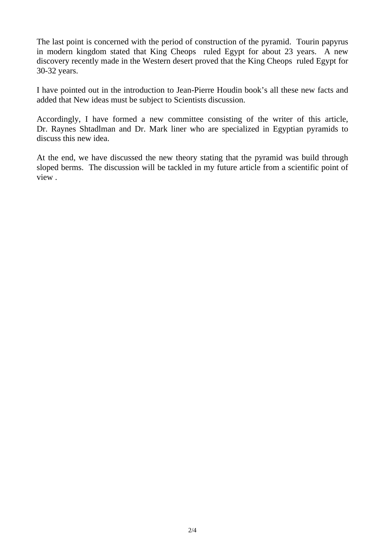The last point is concerned with the period of construction of the pyramid. Tourin papyrus in modern kingdom stated that King Cheops ruled Egypt for about 23 years. A new discovery recently made in the Western desert proved that the King Cheops ruled Egypt for 30-32 years.

I have pointed out in the introduction to Jean-Pierre Houdin book's all these new facts and added that New ideas must be subject to Scientists discussion.

Accordingly, I have formed a new committee consisting of the writer of this article, Dr. Raynes Shtadlman and Dr. Mark liner who are specialized in Egyptian pyramids to discuss this new idea.

At the end, we have discussed the new theory stating that the pyramid was build through sloped berms. The discussion will be tackled in my future article from a scientific point of view .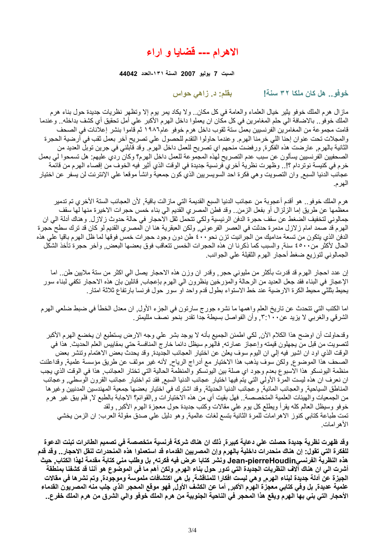## **الاهرام --- قضايا و اراء**

**السبت 7 يوليو 2007 السنة -١٣١العدد 44042**

**خوفو.. هل آان ملكا ٣٢ سنة! بقلم: د. زاهي حواس**

مازال هرم الملك خوفو يثير خيال العلماء والعامة في آل مكان.. ولا يكاد يمر يوم إلا وتظهر نظريات جديدة حول بناء هرم الملك خوفو . بالاضافة الي حلم المغامرين في كل مكان ان يعملوا داخل الهرم الأكبر علي أمل تحقيق أي كشف بداخله . وعندما قامت مجموعة من المغامرين الفرنسيين بعمل ستة ثقوب داخل هرم خوفو عام١٩٨٦ ثم قاموا بنشر إعلانات في الصحف والمجلات تحت عنوان إحنا اللي خرمنا الهرم. وعندما حاولوا التقدم للحصول علي تصريح آخر بعمل ثقب في أرضية الحجرة الثانية بالهرم, عارضت هذه الفكرة, ورفضت منحهم اي تصريح للعمل داخل الهرم. وقد قابلني في جرين توبل العديد من الصحفيين الفرنسيين يسألون عن سبب عدم التصريح لهذه المجموعة للعمل داخل الهرم؟ وآان ردي عليهم: هل تسمحوا لي بعمل خرم في كنيسة نوتردام ؟!.. وظهرت نظرية أخري فرنسية جديدة في الوقت الذي أثير فيه الخوف من إقصاء الهرم من قائمة عجائب الدنيا السبع, وان التصويت وهي فكرة احد السويسريين الذي كون جمعية وانشأ موقعا علي الإنترنت لن يسفر عن اختيار الهرم.

هرم الملك خوفو.. هو أقدم أعجوبة من عجائب الدنيا السبع القديمة التي مازالت باقية, لأن العجائب الستة الأخري تم تدمير معظمها عن طريق إما الزلزال أو بفعل الزمن.. وقد فطن المصري القديم الي بناء خمس حجرات الاخيرة منها لها سقف جمالوني لتخفيف الضغط عن سقف حجرة الدفن الرئيسية ولكي تتحمل ثقل الاحجار في حالة حدوث زلازل. وهناك أدلة الي ان الهرم قد صمد امام زلازل مدمرة حدثت في العصر الفرعوني, ولكن العبقرية هنا ان المصري القديم لو كان قد ترك سطح حجرة الدفن الذي يتكون من تسعة مداميك من الجرانيت تزن نحو٤٠٠ طن دون وجود حجرات خمس فوقها لما ظل الهرم باقيا علي هذه الحال لأكثر من٤٥٠٠ سنة, والسبب كما ذكرنا ان هذه الحجرات الخمس تتعاقب فوق بعضها البعض, وآخر حجرة تأخذ الشكل الجمالوني لتوزيع ضغط أحجار الهرم الثقيلة علي الجوانب.

إن عدد احجار الهرم قد قدرت بأكثر من مليوني حجر, وقدر ان وزن هذه الاحجار يصل الي اكثر من ستة ملايين طن.. اما الإعجاز في البناء فقد جعل العديد من الرحالة والمؤرخين ينظرون الي الهرم بإعجاب, قائلين بإن هذه الاحجار تكفي لبناء سور يحيط بثلثي محيط الكرة الارضية عند خط الاستواء بطول قدم واحد او سور حول فرنسا بارتفاع ثلاثة امتار.

اما الكتب التي تتحدث عن تاريخ العلم واهمها ما نشره جورج سارتون في الجزء الأول, ان معدل الخطأ في ضبط ضلعي الهرم الشرقي والغربي لا يزيد عن,٣:١٠٠ وأن الفواصل بسيطة جدا تقدر بنحو نصف ملليمتر.

وقدحاولت أن اوضح هذا الكلام الآن, لكي اطمئن الجميع بأنه لا يوجد بشر علي وجه الارض يستطيع ان يخضع الهرم الأآبر لتصويت من قبل من يجهلون قيمته وإعجاز عمارته, فالهرم سيظل دائما خارج المنافسة حتي بمقاييس العلم الحديث. هذا في الوقت الذي اود ان اشير فيه إلي ان اليوم سوف يعلن عن اختيار العجائب الجديدة, وقد يحدث بعض الاهتمام وتنشر بعض الصحف هذا الموضوع, ولكن سوف يذهب هذا الاختيار مع أدراج الرياح, لأنه غير موثف عن طريق مؤسسة علمية, وقداعلنت منظمة اليونسكو هذا الاسبوع بعدم وجود اي صلة بين اليونسكو والمنظمة الحالية التي تختار العجائب, هذا في الوقت الذي يجب ان نعرف ان هذه ليست المرة الأولي التي يتم فيها اختيار عجائب الدنيا السبع, فقد تم اختيار عجائب القرون الوسطي, وعجائب المناطق السياحية, والعجائب المائية, وعجائب الدنيا الحديثة, وقد اشترك في اختيار بعضها جمعية المهندسين المدنيين وغيرها من الجمعيات والهيئات العلمية المتخصصة.. فهل بقيت أي من هذه الاختيارات و,القوائم؟ الاجابة بالطبع لا, فلم يبق غير هرم خوفو وسيظل العالم كله يقرأ ويطلع كل يوم علي مقالات وكتب جديدة حول معجزة الهرم الأكبر , ولقد تمت طباعة كتابي كنوز الاهرامات للمرة الثانية بتسع لغات عالمية, وهو دليل علي صدق مقولة العرب: ان الزمن يخشي الأهرامات.

وقد ظهرت نظرية جديدة حصلت على دعاية كبيرة. ذلك ان هناك شركة فرنسية متخصصة في تصميم الطائرات تبنت الدعوة للفكرة التي تقول: إن هناك منحدرات داخلية بالهرم وإن المصريين القدماء قد استعملوا هذه المنحدرات لنقل الاحجار . وقد قدم هذه النظرية الفرنسيJean-pierreHoudin ونشر كتابا عرض فيه فكرته, بل وطلب منى كتابة مقدمة لهذا الكتاب, حيث أشرت الى ان هناك الاف النظريات الجديدة التي تدور حول بناء الهرم, ولكن أهم ما في الموضوع هو أننا قد كشفنا بمنطقة الجيزة عن أدلة جديدة لبناء الهرم, وهي ليست افكارا للمناقشة, بل هي اكتشافات ملموسة وموجودة, وتم نشرها في مقالات علمية عديدة, بل وفي كتابي معجزة الـهرم الأكبر, أما عن الكشف الأول, فهو موقع المحجر الذي جلب منه المصريون القدماء الأحجار التي بني بها الهرم ويقع هذا المحجر في الناحية الجنوبية من هرم الملك خوفو والي الشرق من هرم الملك خفرع..